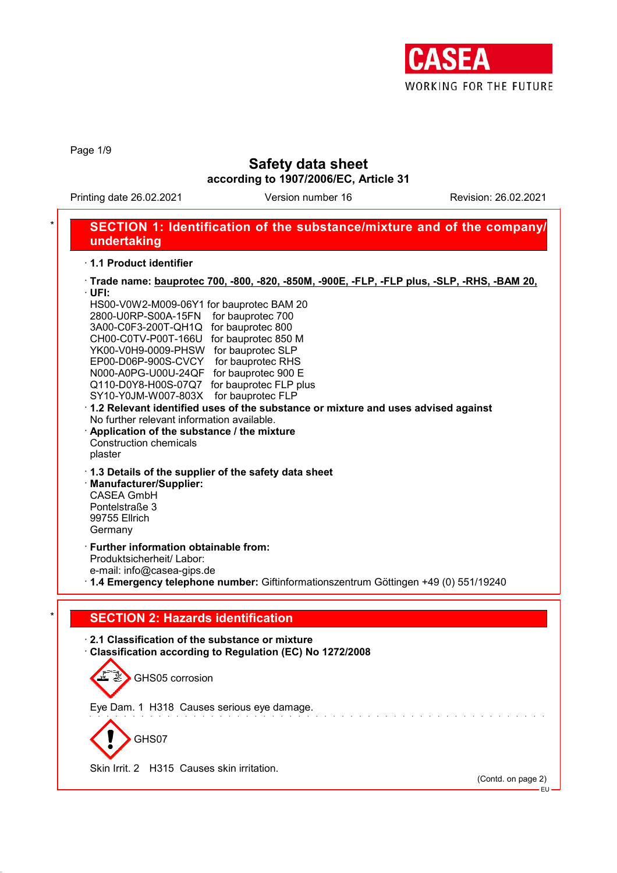

Page 1/9

### **Safety data sheet**

**according to 1907/2006/EC, Article 31**

Printing date 26.02.2021 Version number 16 Revision: 26.02.2021

### \* **SECTION 1: Identification of the substance/mixture and of the company/ undertaking** · **1.1 Product identifier**

| · Trade name: bauprotec 700, -800, -820, -850M, -900E, -FLP, -FLP plus, -SLP, -RHS, -BAM 20,                                                                                                                                                                                                                                                                                                                                                                                                                                                                                                                                                 |
|----------------------------------------------------------------------------------------------------------------------------------------------------------------------------------------------------------------------------------------------------------------------------------------------------------------------------------------------------------------------------------------------------------------------------------------------------------------------------------------------------------------------------------------------------------------------------------------------------------------------------------------------|
| $\cdot$ UFI:<br>HS00-V0W2-M009-06Y1 for bauprotec BAM 20<br>2800-U0RP-S00A-15FN<br>for bauprotec 700<br>3A00-C0F3-200T-QH1Q for bauprotec 800<br>CH00-C0TV-P00T-166U for bauprotec 850 M<br>YK00-V0H9-0009-PHSW for bauprotec SLP<br>EP00-D06P-900S-CVCY for bauprotec RHS<br>N000-A0PG-U00U-24QF for bauprotec 900 E<br>Q110-D0Y8-H00S-07Q7 for bauprotec FLP plus<br>for bauprotec FLP<br>SY10-Y0JM-W007-803X<br>1.2 Relevant identified uses of the substance or mixture and uses advised against<br>No further relevant information available.<br>Application of the substance / the mixture<br><b>Construction chemicals</b><br>plaster |
| 1.3 Details of the supplier of the safety data sheet<br>· Manufacturer/Supplier:<br><b>CASEA GmbH</b><br>Pontelstraße 3<br>99755 Ellrich<br>Germany                                                                                                                                                                                                                                                                                                                                                                                                                                                                                          |
| · Further information obtainable from:<br>Produktsicherheit/ Labor:<br>e-mail: info@casea-gips.de<br>1.4 Emergency telephone number: Giftinformationszentrum Göttingen +49 (0) 551/19240                                                                                                                                                                                                                                                                                                                                                                                                                                                     |
| <b>SECTION 2: Hazards identification</b>                                                                                                                                                                                                                                                                                                                                                                                                                                                                                                                                                                                                     |
| 2.1 Classification of the substance or mixture<br>Classification according to Regulation (EC) No 1272/2008<br>GHS05 corrosion                                                                                                                                                                                                                                                                                                                                                                                                                                                                                                                |
| Eye Dam. 1 H318 Causes serious eye damage.<br>GHS07<br>Skin Irrit. 2 H315 Causes skin irritation.                                                                                                                                                                                                                                                                                                                                                                                                                                                                                                                                            |
|                                                                                                                                                                                                                                                                                                                                                                                                                                                                                                                                                                                                                                              |

(Contd. on page 2) .<br>∙EU∙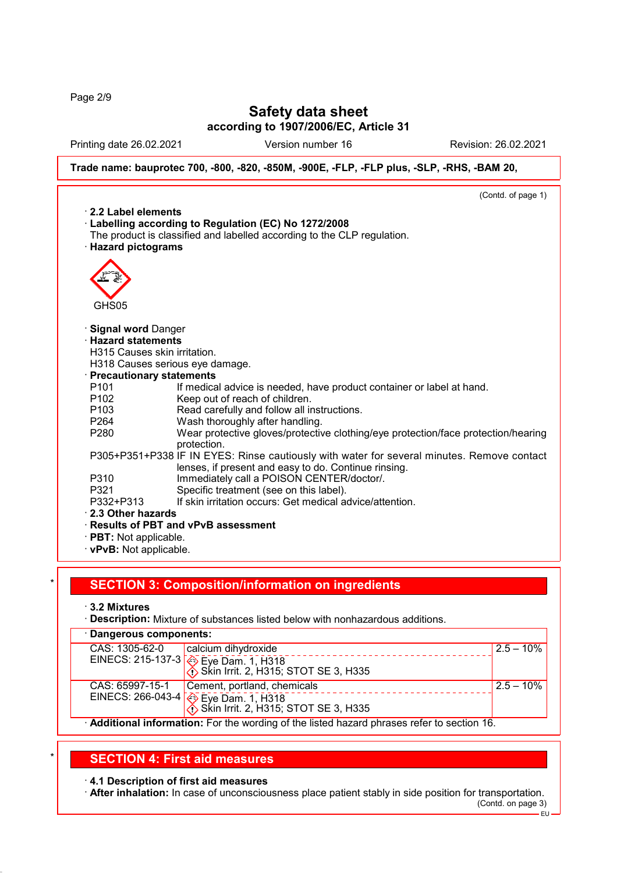Page 2/9

# **Safety data sheet**

**according to 1907/2006/EC, Article 31**

Printing date 26.02.2021 Version number 16 Revision: 26.02.2021

EU

**Trade name: bauprotec 700, -800, -820, -850M, -900E, -FLP, -FLP plus, -SLP, -RHS, -BAM 20,**

|                              | (Contd. of page 1)                                                                         |
|------------------------------|--------------------------------------------------------------------------------------------|
| $\cdot$ 2.2 Label elements   |                                                                                            |
|                              | Labelling according to Regulation (EC) No 1272/2008                                        |
|                              | The product is classified and labelled according to the CLP regulation.                    |
| · Hazard pictograms          |                                                                                            |
|                              |                                                                                            |
|                              |                                                                                            |
|                              |                                                                                            |
|                              |                                                                                            |
| GHS05                        |                                                                                            |
|                              |                                                                                            |
| · Signal word Danger         |                                                                                            |
| · Hazard statements          |                                                                                            |
| H315 Causes skin irritation. |                                                                                            |
|                              | H318 Causes serious eye damage.                                                            |
| · Precautionary statements   |                                                                                            |
| P <sub>101</sub>             | If medical advice is needed, have product container or label at hand.                      |
| P <sub>102</sub>             | Keep out of reach of children.                                                             |
| P <sub>103</sub>             | Read carefully and follow all instructions.                                                |
| P <sub>264</sub>             | Wash thoroughly after handling.                                                            |
| P280                         | Wear protective gloves/protective clothing/eye protection/face protection/hearing          |
|                              | protection.                                                                                |
|                              | P305+P351+P338 IF IN EYES: Rinse cautiously with water for several minutes. Remove contact |
|                              | lenses, if present and easy to do. Continue rinsing.                                       |
| P310                         | Immediately call a POISON CENTER/doctor/.                                                  |
| P321                         | Specific treatment (see on this label).                                                    |
| P332+P313                    | If skin irritation occurs: Get medical advice/attention.                                   |
| 2.3 Other hazards            |                                                                                            |
|                              | · Results of PBT and vPvB assessment                                                       |
| $\cdot$ PBT: Not applicable. |                                                                                            |
|                              |                                                                                            |
| · vPvB: Not applicable.      |                                                                                            |

### \* **SECTION 3: Composition/information on ingredients**

- · **3.2 Mixtures**
- · **Description:** Mixture of substances listed below with nonhazardous additions.

| · Dangerous components:                                                                     |                                                                                                                              |               |  |  |
|---------------------------------------------------------------------------------------------|------------------------------------------------------------------------------------------------------------------------------|---------------|--|--|
| CAS: 1305-62-0                                                                              | calcium dihydroxide                                                                                                          | $2.5 - 10\%$  |  |  |
|                                                                                             | EINECS: 215-137-3 $\left[\begin{matrix} 2 \\ 1 \end{matrix}\right]$ Eye Dam. 1, H318<br>Skin Irrit. 2, H315; STOT SE 3, H335 |               |  |  |
| CAS: 65997-15-1                                                                             | Cement, portland, chemicals                                                                                                  | $12.5 - 10\%$ |  |  |
|                                                                                             | EINECS: 266-043-4 $\otimes$ Eye Dam. 1, H318<br>Skin Irrit. 2, H315; STOT SE 3, H335                                         |               |  |  |
| · Additional information: For the wording of the listed hazard phrases refer to section 16. |                                                                                                                              |               |  |  |

### \* **SECTION 4: First aid measures**

#### · **4.1 Description of first aid measures**

· **After inhalation:** In case of unconsciousness place patient stably in side position for transportation. (Contd. on page 3)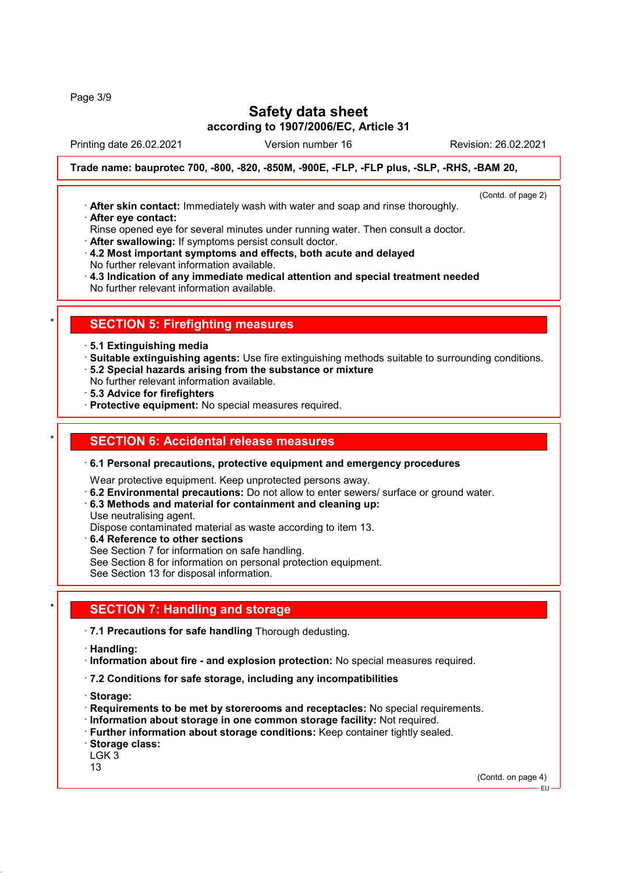Page 3/9

# **Safety data sheet**

**according to 1907/2006/EC, Article 31**

Printing date 26.02.2021 Version number 16 Revision: 26.02.2021

(Contd. of page 2)

**Trade name: bauprotec 700, -800, -820, -850M, -900E, -FLP, -FLP plus, -SLP, -RHS, -BAM 20,**

- · **After skin contact:** Immediately wash with water and soap and rinse thoroughly. · **After eye contact:**
- Rinse opened eye for several minutes under running water. Then consult a doctor.
- · **After swallowing:** If symptoms persist consult doctor.
- · **4.2 Most important symptoms and effects, both acute and delayed** No further relevant information available.
- · **4.3 Indication of any immediate medical attention and special treatment needed** No further relevant information available.

### **SECTION 5: Firefighting measures**

- · **5.1 Extinguishing media**
- · **Suitable extinguishing agents:** Use fire extinguishing methods suitable to surrounding conditions. · **5.2 Special hazards arising from the substance or mixture**
- No further relevant information available.
- · **5.3 Advice for firefighters**
- · **Protective equipment:** No special measures required.

#### \* **SECTION 6: Accidental release measures**

#### · **6.1 Personal precautions, protective equipment and emergency procedures**

Wear protective equipment. Keep unprotected persons away.

- · **6.2 Environmental precautions:** Do not allow to enter sewers/ surface or ground water.
- · **6.3 Methods and material for containment and cleaning up:**
- Use neutralising agent.
- Dispose contaminated material as waste according to item 13.
- · **6.4 Reference to other sections**
- See Section 7 for information on safe handling.
- See Section 8 for information on personal protection equipment.
- See Section 13 for disposal information.

### **SECTION 7: Handling and storage**

- · **7.1 Precautions for safe handling** Thorough dedusting.
- · **Handling:**
- · **Information about fire and explosion protection:** No special measures required.
- · **7.2 Conditions for safe storage, including any incompatibilities**
- · **Storage:**
- · **Requirements to be met by storerooms and receptacles:** No special requirements.
- · **Information about storage in one common storage facility:** Not required.
- · **Further information about storage conditions:** Keep container tightly sealed.
- · **Storage class:**
- LGK 3
- 13

(Contd. on page 4)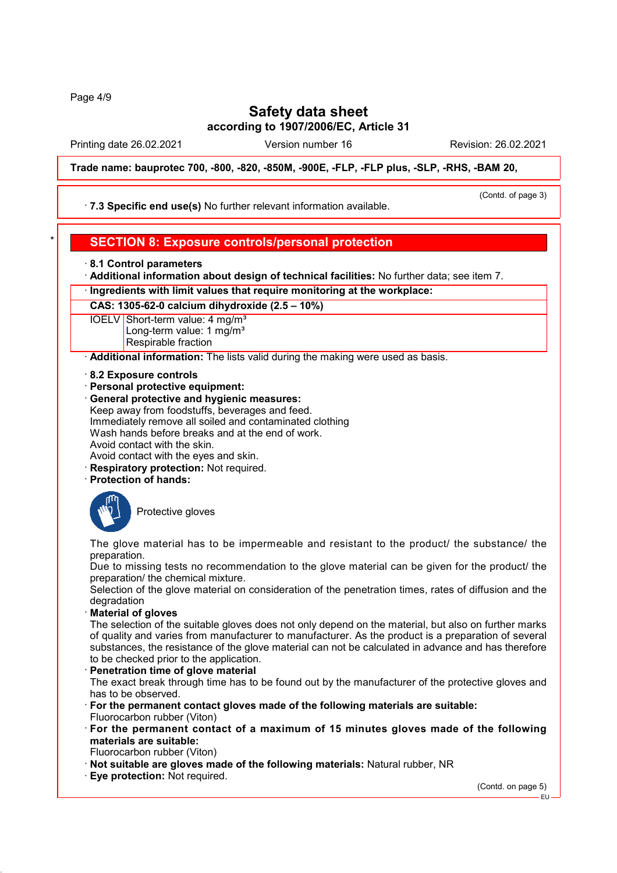Page 4/9

# **Safety data sheet**

**according to 1907/2006/EC, Article 31**

Printing date 26.02.2021 Version number 16 Revision: 26.02.2021

**Trade name: bauprotec 700, -800, -820, -850M, -900E, -FLP, -FLP plus, -SLP, -RHS, -BAM 20,**

· **7.3 Specific end use(s)** No further relevant information available.

(Contd. of page 3)

### \* **SECTION 8: Exposure controls/personal protection**

- · **8.1 Control parameters**
- · **Additional information about design of technical facilities:** No further data; see item 7.
- · **Ingredients with limit values that require monitoring at the workplace:**

**CAS: 1305-62-0 calcium dihydroxide (2.5 – 10%)**

IOELV Short-term value: 4 mg/m<sup>3</sup> Long-term value: 1 mg/m<sup>3</sup> Respirable fraction

· **Additional information:** The lists valid during the making were used as basis.

· **8.2 Exposure controls**

- · **Personal protective equipment:**
- · **General protective and hygienic measures:** Keep away from foodstuffs, beverages and feed. Immediately remove all soiled and contaminated clothing Wash hands before breaks and at the end of work. Avoid contact with the skin. Avoid contact with the eyes and skin.
- · **Respiratory protection:** Not required.
- · **Protection of hands:**



Protective gloves

The glove material has to be impermeable and resistant to the product/ the substance/ the preparation.

Due to missing tests no recommendation to the glove material can be given for the product/ the preparation/ the chemical mixture.

Selection of the glove material on consideration of the penetration times, rates of diffusion and the degradation

· **Material of gloves**

The selection of the suitable gloves does not only depend on the material, but also on further marks of quality and varies from manufacturer to manufacturer. As the product is a preparation of several substances, the resistance of the glove material can not be calculated in advance and has therefore to be checked prior to the application.

- · **Penetration time of glove material** The exact break through time has to be found out by the manufacturer of the protective gloves and has to be observed.
- · **For the permanent contact gloves made of the following materials are suitable:** Fluorocarbon rubber (Viton)
- · **For the permanent contact of a maximum of 15 minutes gloves made of the following materials are suitable:**
- Fluorocarbon rubber (Viton)
- · **Not suitable are gloves made of the following materials:** Natural rubber, NR
- · **Eye protection:** Not required.

(Contd. on page 5)

EU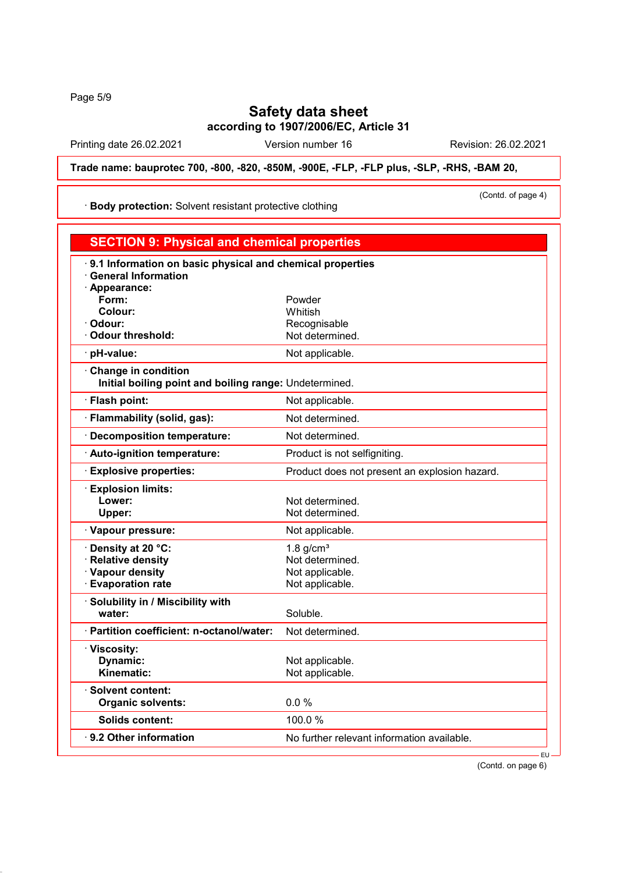Page 5/9

# **Safety data sheet**

**according to 1907/2006/EC, Article 31**

Printing date 26.02.2021 Version number 16 Revision: 26.02.2021

**Trade name: bauprotec 700, -800, -820, -850M, -900E, -FLP, -FLP plus, -SLP, -RHS, -BAM 20,**

· **Body protection:** Solvent resistant protective clothing

(Contd. of page 4)

| <b>SECTION 9: Physical and chemical properties</b>                                                       |                                               |
|----------------------------------------------------------------------------------------------------------|-----------------------------------------------|
| 9.1 Information on basic physical and chemical properties<br><b>General Information</b><br>· Appearance: |                                               |
| Form:                                                                                                    | Powder                                        |
| Colour:                                                                                                  | Whitish                                       |
| Odour:                                                                                                   | Recognisable                                  |
| <b>Odour threshold:</b>                                                                                  | Not determined.                               |
| pH-value:                                                                                                | Not applicable.                               |
| · Change in condition<br>Initial boiling point and boiling range: Undetermined.                          |                                               |
| · Flash point:                                                                                           | Not applicable.                               |
| · Flammability (solid, gas):                                                                             | Not determined.                               |
| <b>Decomposition temperature:</b>                                                                        | Not determined.                               |
| · Auto-ignition temperature:                                                                             | Product is not selfigniting.                  |
| <b>Explosive properties:</b>                                                                             | Product does not present an explosion hazard. |
| <b>Explosion limits:</b>                                                                                 |                                               |
| Lower:                                                                                                   | Not determined.                               |
| Upper:                                                                                                   | Not determined.                               |
| · Vapour pressure:                                                                                       | Not applicable.                               |
| Density at 20 °C:                                                                                        | 1.8 $g/cm3$                                   |
| <b>Relative density</b>                                                                                  | Not determined.                               |
| · Vapour density                                                                                         | Not applicable.                               |
| <b>Evaporation rate</b>                                                                                  | Not applicable.                               |
| · Solubility in / Miscibility with                                                                       |                                               |
| water:                                                                                                   | Soluble.                                      |
| · Partition coefficient: n-octanol/water:                                                                | Not determined.                               |
| · Viscosity:                                                                                             |                                               |
| Dynamic:                                                                                                 | Not applicable.                               |
| Kinematic:                                                                                               | Not applicable.                               |
| $\cdot$ Solvent content:                                                                                 |                                               |
| <b>Organic solvents:</b>                                                                                 | 0.0%                                          |
| Solids content:                                                                                          | 100.0%                                        |
| $\cdot$ 9.2 Other information                                                                            | No further relevant information available.    |
|                                                                                                          | $EU -$                                        |

(Contd. on page 6)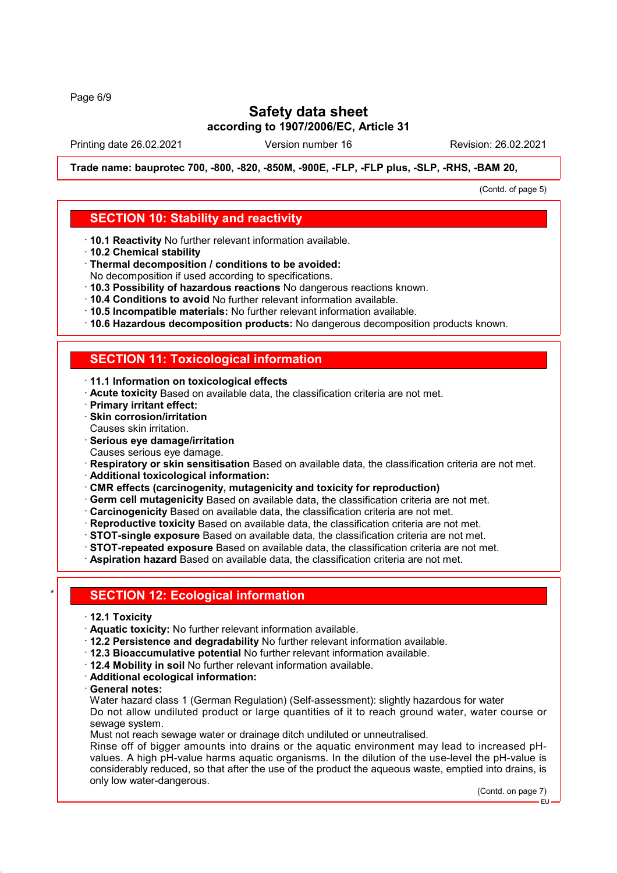Page 6/9

# **Safety data sheet**

**according to 1907/2006/EC, Article 31**

Printing date 26.02.2021 Version number 16 Revision: 26.02.2021

**Trade name: bauprotec 700, -800, -820, -850M, -900E, -FLP, -FLP plus, -SLP, -RHS, -BAM 20,**

(Contd. of page 5)

#### **SECTION 10: Stability and reactivity**

- · **10.1 Reactivity** No further relevant information available.
- · **10.2 Chemical stability**
- · **Thermal decomposition / conditions to be avoided:**
- No decomposition if used according to specifications.
- · **10.3 Possibility of hazardous reactions** No dangerous reactions known.
- · **10.4 Conditions to avoid** No further relevant information available.
- · **10.5 Incompatible materials:** No further relevant information available.
- · **10.6 Hazardous decomposition products:** No dangerous decomposition products known.

### **SECTION 11: Toxicological information**

- · **11.1 Information on toxicological effects**
- · **Acute toxicity** Based on available data, the classification criteria are not met.
- · **Primary irritant effect:**
- · **Skin corrosion/irritation** Causes skin irritation.
- · **Serious eye damage/irritation**
- Causes serious eye damage.
- · **Respiratory or skin sensitisation** Based on available data, the classification criteria are not met.
- · **Additional toxicological information:**
- · **CMR effects (carcinogenity, mutagenicity and toxicity for reproduction)**
- · **Germ cell mutagenicity** Based on available data, the classification criteria are not met.
- · **Carcinogenicity** Based on available data, the classification criteria are not met.
- · **Reproductive toxicity** Based on available data, the classification criteria are not met.
- · **STOT-single exposure** Based on available data, the classification criteria are not met.
- · **STOT-repeated exposure** Based on available data, the classification criteria are not met.
- · **Aspiration hazard** Based on available data, the classification criteria are not met.

#### **SECTION 12: Ecological information**

- · **12.1 Toxicity**
- · **Aquatic toxicity:** No further relevant information available.
- · **12.2 Persistence and degradability** No further relevant information available.
- · **12.3 Bioaccumulative potential** No further relevant information available.
- · **12.4 Mobility in soil** No further relevant information available.
- · **Additional ecological information:**
- · **General notes:**

Water hazard class 1 (German Regulation) (Self-assessment): slightly hazardous for water Do not allow undiluted product or large quantities of it to reach ground water, water course or sewage system.

Must not reach sewage water or drainage ditch undiluted or unneutralised.

Rinse off of bigger amounts into drains or the aquatic environment may lead to increased pHvalues. A high pH-value harms aquatic organisms. In the dilution of the use-level the pH-value is considerably reduced, so that after the use of the product the aqueous waste, emptied into drains, is only low water-dangerous.

(Contd. on page 7)

EU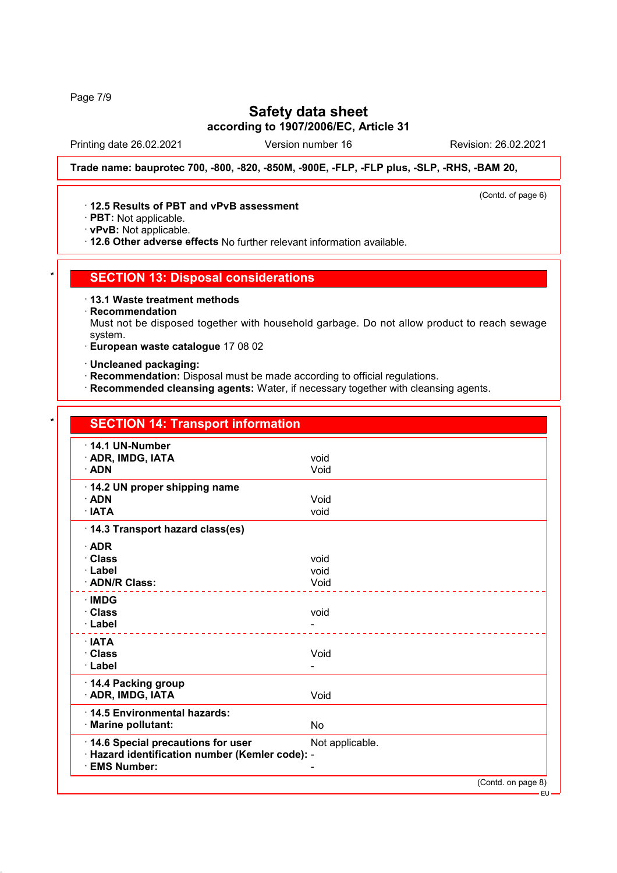Page 7/9

## **Safety data sheet**

**according to 1907/2006/EC, Article 31**

Printing date 26.02.2021 Version number 16 Revision: 26.02.2021

(Contd. of page 6)

**Trade name: bauprotec 700, -800, -820, -850M, -900E, -FLP, -FLP plus, -SLP, -RHS, -BAM 20,**

#### · **12.5 Results of PBT and vPvB assessment**

· **PBT:** Not applicable.

· **vPvB:** Not applicable.

· **12.6 Other adverse effects** No further relevant information available.

#### **SECTION 13: Disposal considerations**

· **13.1 Waste treatment methods**

· **Recommendation**

Must not be disposed together with household garbage. Do not allow product to reach sewage system.

- · **European waste catalogue** 17 08 02
- · **Uncleaned packaging:**
- · **Recommendation:** Disposal must be made according to official regulations.
- · **Recommended cleansing agents:** Water, if necessary together with cleansing agents.

### **SECTION 14: Transport information** · **14.1 UN-Number** · **ADR, IMDG, IATA** void · **ADN** Void · **14.2 UN proper shipping name** · **ADN** Void · **IATA** void · **14.3 Transport hazard class(es)** · **ADR** · **Class** void · **Label** void · **ADN/R Class:** Void · **IMDG** · **Class** void · **Label** - · **IATA** · **Class** Void · **Label** - · **14.4 Packing group** · **ADR, IMDG, IATA** Void · **14.5 Environmental hazards:** · **Marine pollutant:** No **14.6 Special precautions for user** Not applicable. · **Hazard identification number (Kemler code):** - · **EMS Number:** - (Contd. on page 8) EU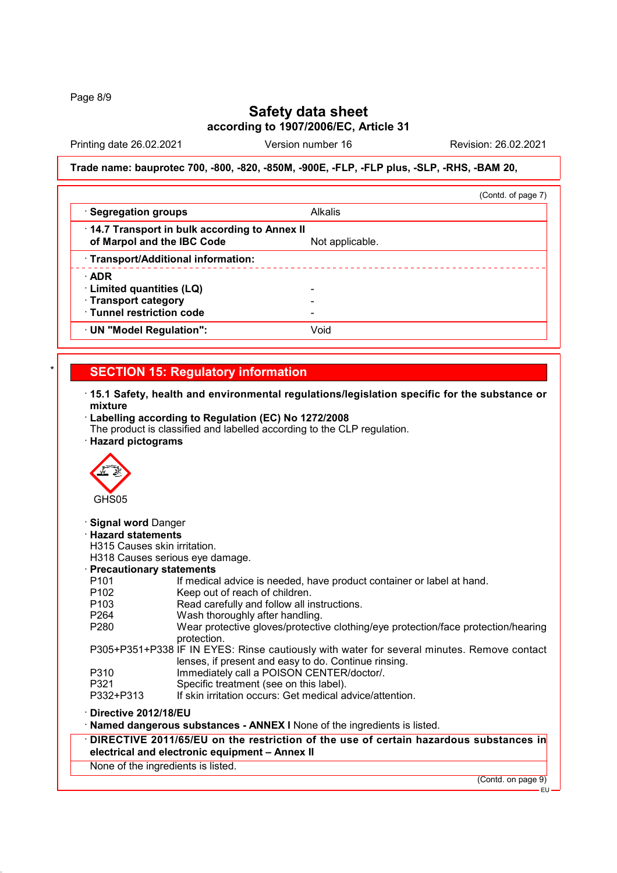Page 8/9

### **Safety data sheet**

**according to 1907/2006/EC, Article 31**

Printing date 26.02.2021 Version number 16 Revision: 26.02.2021

#### **Trade name: bauprotec 700, -800, -820, -850M, -900E, -FLP, -FLP plus, -SLP, -RHS, -BAM 20,**

|                                                                            | (Contd. of page 7) |
|----------------------------------------------------------------------------|--------------------|
| · Segregation groups                                                       | <b>Alkalis</b>     |
| 14.7 Transport in bulk according to Annex II<br>of Marpol and the IBC Code | Not applicable.    |
| · Transport/Additional information:                                        |                    |
| $\cdot$ ADR                                                                |                    |
| · Limited quantities (LQ)                                                  |                    |
| · Transport category                                                       |                    |
| · Tunnel restriction code                                                  |                    |
| · UN "Model Regulation":                                                   | Void               |

#### **SECTION 15: Regulatory information**

- · **15.1 Safety, health and environmental regulations/legislation specific for the substance or mixture**
- · **Labelling according to Regulation (EC) No 1272/2008**
- The product is classified and labelled according to the CLP regulation.
- · **Hazard pictograms**



· **Signal word** Danger

· **Hazard statements**

H315 Causes skin irritation.

H318 Causes serious eye damage.

· **Precautionary statements**

- P102 Keep out of reach of children.
- P103 Read carefully and follow all instructions.<br>P264 Wash thoroughly after handling.
- P264 Wash thoroughly after handling.<br>P280 Wear protective gloves/protective
- Wear protective gloves/protective clothing/eye protection/face protection/hearing protection.
- P305+P351+P338 IF IN EYES: Rinse cautiously with water for several minutes. Remove contact lenses, if present and easy to do. Continue rinsing.
- P310 Immediately call a POISON CENTER/doctor/.
- P321 Specific treatment (see on this label).<br>P332+P313 If skin irritation occurs: Get medical a
- If skin irritation occurs: Get medical advice/attention.
- · **Directive 2012/18/EU**

### Named dangerous substances - ANNEX I None of the ingredients is listed.

- · **DIRECTIVE 2011/65/EU on the restriction of the use of certain hazardous substances in electrical and electronic equipment – Annex II**
- None of the ingredients is listed.

(Contd. on page 9)

EU